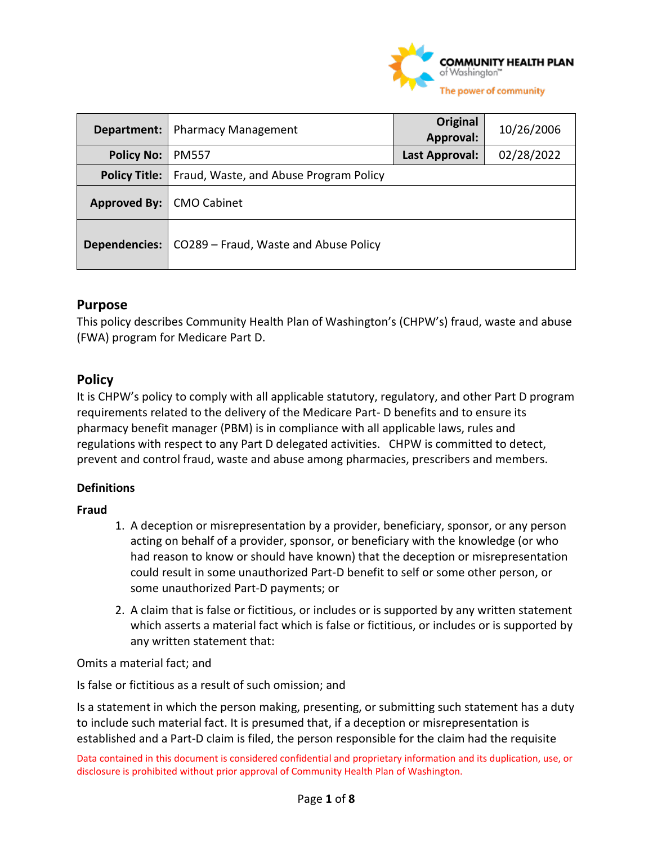

| Department:                | <b>Pharmacy Management</b>             | Original<br>Approval: | 10/26/2006 |
|----------------------------|----------------------------------------|-----------------------|------------|
| <b>Policy No:</b>          | <b>PM557</b>                           | Last Approval:        | 02/28/2022 |
| <b>Policy Title:</b>       | Fraud, Waste, and Abuse Program Policy |                       |            |
| Approved By:   CMO Cabinet |                                        |                       |            |
| Dependencies:              | CO289 - Fraud, Waste and Abuse Policy  |                       |            |

## **Purpose**

This policy describes Community Health Plan of Washington's (CHPW's) fraud, waste and abuse (FWA) program for Medicare Part D.

## **Policy**

It is CHPW's policy to comply with all applicable statutory, regulatory, and other Part D program requirements related to the delivery of the Medicare Part- D benefits and to ensure its pharmacy benefit manager (PBM) is in compliance with all applicable laws, rules and regulations with respect to any Part D delegated activities. CHPW is committed to detect, prevent and control fraud, waste and abuse among pharmacies, prescribers and members.

## **Definitions**

#### **Fraud**

- 1. A deception or misrepresentation by a provider, beneficiary, sponsor, or any person acting on behalf of a provider, sponsor, or beneficiary with the knowledge (or who had reason to know or should have known) that the deception or misrepresentation could result in some unauthorized Part-D benefit to self or some other person, or some unauthorized Part-D payments; or
- 2. A claim that is false or fictitious, or includes or is supported by any written statement which asserts a material fact which is false or fictitious, or includes or is supported by any written statement that:

Omits a material fact; and

Is false or fictitious as a result of such omission; and

Is a statement in which the person making, presenting, or submitting such statement has a duty to include such material fact. It is presumed that, if a deception or misrepresentation is established and a Part-D claim is filed, the person responsible for the claim had the requisite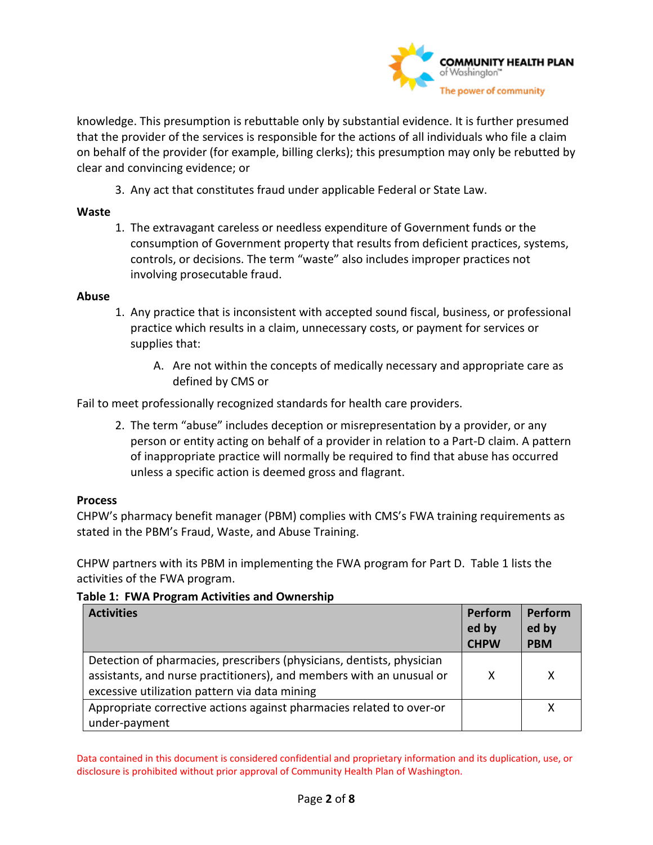

knowledge. This presumption is rebuttable only by substantial evidence. It is further presumed that the provider of the services is responsible for the actions of all individuals who file a claim on behalf of the provider (for example, billing clerks); this presumption may only be rebutted by clear and convincing evidence; or

3. Any act that constitutes fraud under applicable Federal or State Law.

#### **Waste**

1. The extravagant careless or needless expenditure of Government funds or the consumption of Government property that results from deficient practices, systems, controls, or decisions. The term "waste" also includes improper practices not involving prosecutable fraud.

#### **Abuse**

- 1. Any practice that is inconsistent with accepted sound fiscal, business, or professional practice which results in a claim, unnecessary costs, or payment for services or supplies that:
	- A. Are not within the concepts of medically necessary and appropriate care as defined by CMS or

Fail to meet professionally recognized standards for health care providers.

2. The term "abuse" includes deception or misrepresentation by a provider, or any person or entity acting on behalf of a provider in relation to a Part-D claim. A pattern of inappropriate practice will normally be required to find that abuse has occurred unless a specific action is deemed gross and flagrant.

#### **Process**

CHPW's pharmacy benefit manager (PBM) complies with CMS's FWA training requirements as stated in the PBM's Fraud, Waste, and Abuse Training.

CHPW partners with its PBM in implementing the FWA program for Part D. Table 1 lists the activities of the FWA program.

#### **Table 1: FWA Program Activities and Ownership**

| <b>Activities</b>                                                                                                                                                                              | Perform<br>ed by<br><b>CHPW</b> | Perform<br>ed by<br><b>PBM</b> |
|------------------------------------------------------------------------------------------------------------------------------------------------------------------------------------------------|---------------------------------|--------------------------------|
| Detection of pharmacies, prescribers (physicians, dentists, physician<br>assistants, and nurse practitioners), and members with an unusual or<br>excessive utilization pattern via data mining | x                               | x                              |
| Appropriate corrective actions against pharmacies related to over-or<br>under-payment                                                                                                          |                                 | x                              |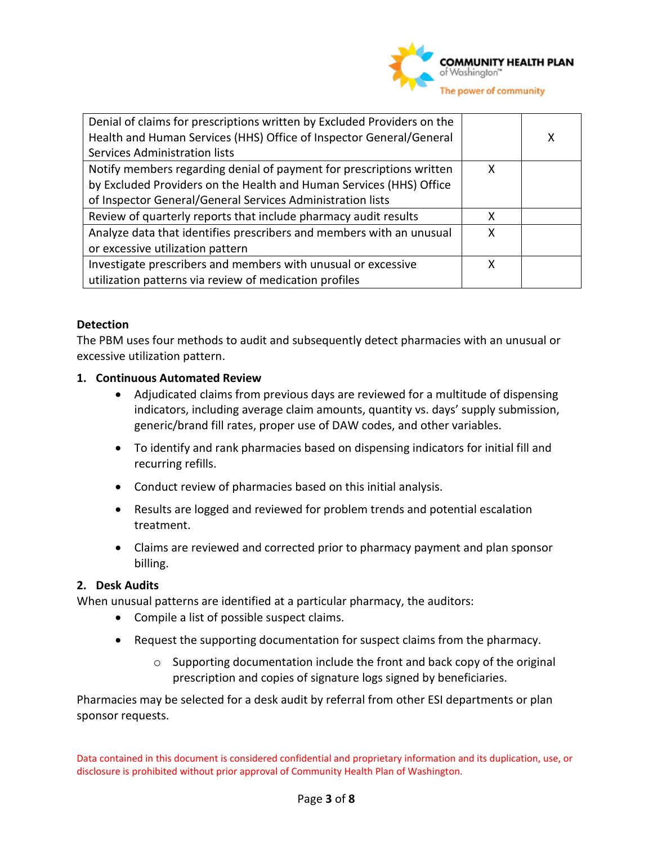

| Denial of claims for prescriptions written by Excluded Providers on the<br>Health and Human Services (HHS) Office of Inspector General/General |   | х |
|------------------------------------------------------------------------------------------------------------------------------------------------|---|---|
| Services Administration lists                                                                                                                  |   |   |
| Notify members regarding denial of payment for prescriptions written                                                                           | x |   |
| by Excluded Providers on the Health and Human Services (HHS) Office                                                                            |   |   |
| of Inspector General/General Services Administration lists                                                                                     |   |   |
| Review of quarterly reports that include pharmacy audit results                                                                                | x |   |
| Analyze data that identifies prescribers and members with an unusual                                                                           |   |   |
| or excessive utilization pattern                                                                                                               |   |   |
| Investigate prescribers and members with unusual or excessive                                                                                  |   |   |
| utilization patterns via review of medication profiles                                                                                         |   |   |

#### **Detection**

The PBM uses four methods to audit and subsequently detect pharmacies with an unusual or excessive utilization pattern.

#### **1. Continuous Automated Review**

- Adjudicated claims from previous days are reviewed for a multitude of dispensing indicators, including average claim amounts, quantity vs. days' supply submission, generic/brand fill rates, proper use of DAW codes, and other variables.
- To identify and rank pharmacies based on dispensing indicators for initial fill and recurring refills.
- Conduct review of pharmacies based on this initial analysis.
- Results are logged and reviewed for problem trends and potential escalation treatment.
- Claims are reviewed and corrected prior to pharmacy payment and plan sponsor billing.

#### **2. Desk Audits**

When unusual patterns are identified at a particular pharmacy, the auditors:

- Compile a list of possible suspect claims.
- Request the supporting documentation for suspect claims from the pharmacy.
	- $\circ$  Supporting documentation include the front and back copy of the original prescription and copies of signature logs signed by beneficiaries.

Pharmacies may be selected for a desk audit by referral from other ESI departments or plan sponsor requests.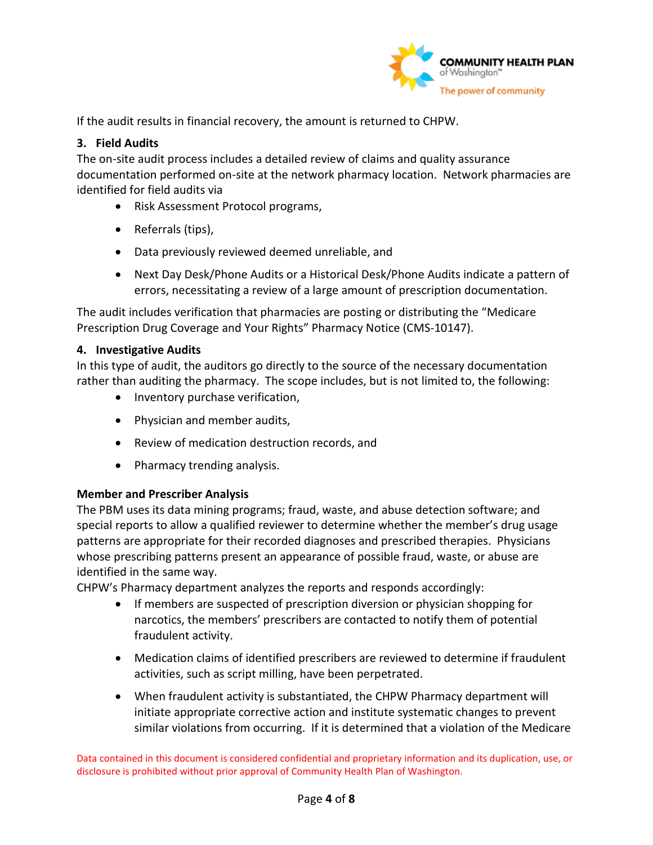

If the audit results in financial recovery, the amount is returned to CHPW.

## **3. Field Audits**

The on-site audit process includes a detailed review of claims and quality assurance documentation performed on-site at the network pharmacy location. Network pharmacies are identified for field audits via

- Risk Assessment Protocol programs,
- Referrals (tips),
- Data previously reviewed deemed unreliable, and
- Next Day Desk/Phone Audits or a Historical Desk/Phone Audits indicate a pattern of errors, necessitating a review of a large amount of prescription documentation.

The audit includes verification that pharmacies are posting or distributing the "Medicare Prescription Drug Coverage and Your Rights" Pharmacy Notice (CMS-10147).

### **4. Investigative Audits**

In this type of audit, the auditors go directly to the source of the necessary documentation rather than auditing the pharmacy. The scope includes, but is not limited to, the following:

- Inventory purchase verification,
- Physician and member audits,
- Review of medication destruction records, and
- Pharmacy trending analysis.

#### **Member and Prescriber Analysis**

The PBM uses its data mining programs; fraud, waste, and abuse detection software; and special reports to allow a qualified reviewer to determine whether the member's drug usage patterns are appropriate for their recorded diagnoses and prescribed therapies. Physicians whose prescribing patterns present an appearance of possible fraud, waste, or abuse are identified in the same way.

CHPW's Pharmacy department analyzes the reports and responds accordingly:

- If members are suspected of prescription diversion or physician shopping for narcotics, the members' prescribers are contacted to notify them of potential fraudulent activity.
- Medication claims of identified prescribers are reviewed to determine if fraudulent activities, such as script milling, have been perpetrated.
- When fraudulent activity is substantiated, the CHPW Pharmacy department will initiate appropriate corrective action and institute systematic changes to prevent similar violations from occurring. If it is determined that a violation of the Medicare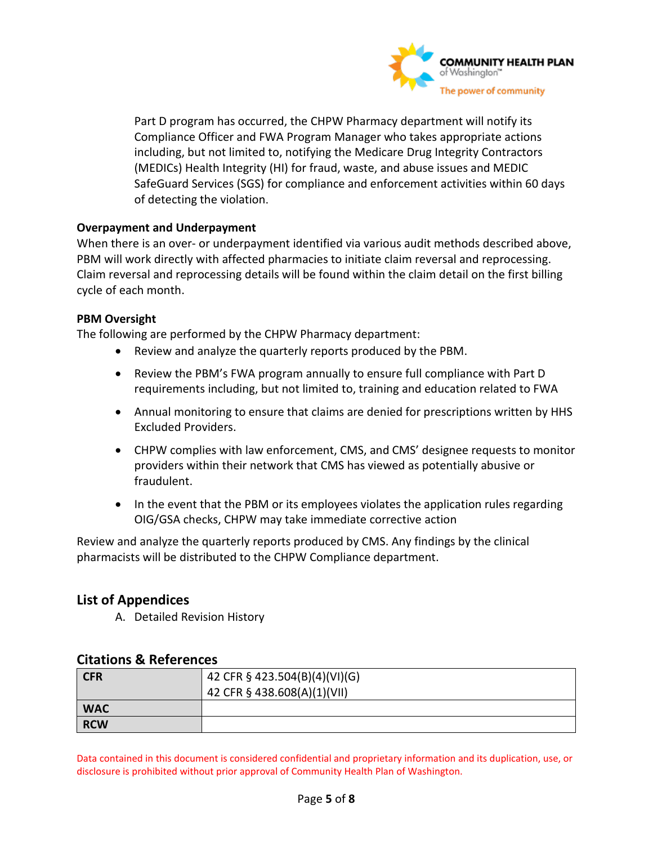

Part D program has occurred, the CHPW Pharmacy department will notify its Compliance Officer and FWA Program Manager who takes appropriate actions including, but not limited to, notifying the Medicare Drug Integrity Contractors (MEDICs) Health Integrity (HI) for fraud, waste, and abuse issues and MEDIC SafeGuard Services (SGS) for compliance and enforcement activities within 60 days of detecting the violation.

#### **Overpayment and Underpayment**

When there is an over- or underpayment identified via various audit methods described above, PBM will work directly with affected pharmacies to initiate claim reversal and reprocessing. Claim reversal and reprocessing details will be found within the claim detail on the first billing cycle of each month.

#### **PBM Oversight**

The following are performed by the CHPW Pharmacy department:

- Review and analyze the quarterly reports produced by the PBM.
- Review the PBM's FWA program annually to ensure full compliance with Part D requirements including, but not limited to, training and education related to FWA
- Annual monitoring to ensure that claims are denied for prescriptions written by HHS Excluded Providers.
- CHPW complies with law enforcement, CMS, and CMS' designee requests to monitor providers within their network that CMS has viewed as potentially abusive or fraudulent.
- In the event that the PBM or its employees violates the application rules regarding OIG/GSA checks, CHPW may take immediate corrective action

Review and analyze the quarterly reports produced by CMS. Any findings by the clinical pharmacists will be distributed to the CHPW Compliance department.

## **List of Appendices**

A. Detailed Revision History

## **Citations & References**

| <b>CFR</b> | 42 CFR § 423.504(B)(4)(VI)(G) |
|------------|-------------------------------|
|            | 42 CFR § 438.608(A)(1)(VII)   |
| <b>WAC</b> |                               |
| <b>RCW</b> |                               |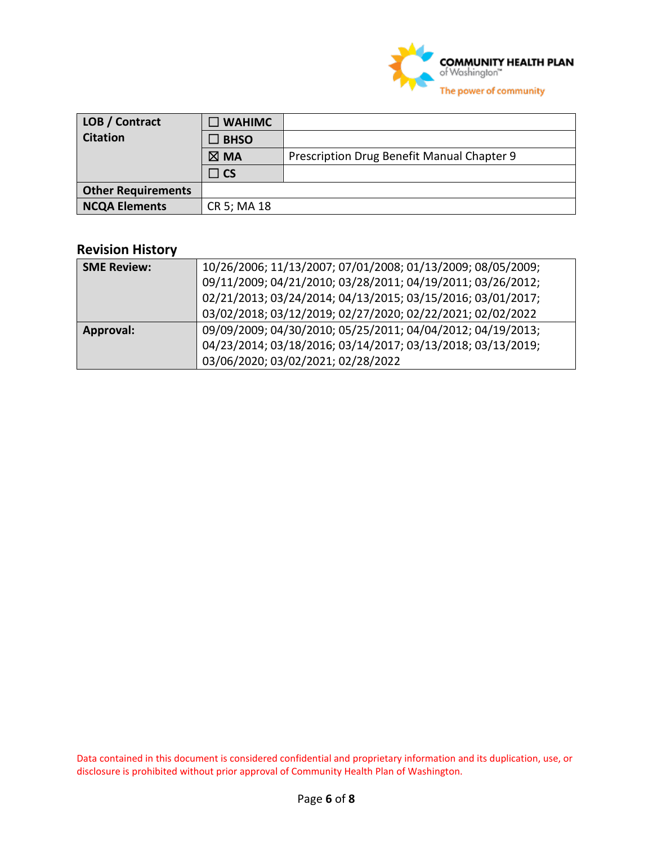

| LOB / Contract            | $\square$ WAHIMC |                                            |
|---------------------------|------------------|--------------------------------------------|
| <b>Citation</b>           | <b>BHSO</b>      |                                            |
|                           | $\boxtimes$ MA   | Prescription Drug Benefit Manual Chapter 9 |
|                           | $\Box$ CS        |                                            |
| <b>Other Requirements</b> |                  |                                            |
| <b>NCQA Elements</b>      | CR 5; MA 18      |                                            |

# **Revision History**

| <b>SME Review:</b> | 10/26/2006; 11/13/2007; 07/01/2008; 01/13/2009; 08/05/2009; |
|--------------------|-------------------------------------------------------------|
|                    | 09/11/2009; 04/21/2010; 03/28/2011; 04/19/2011; 03/26/2012; |
|                    | 02/21/2013; 03/24/2014; 04/13/2015; 03/15/2016; 03/01/2017; |
|                    | 03/02/2018; 03/12/2019; 02/27/2020; 02/22/2021; 02/02/2022  |
| <b>Approval:</b>   | 09/09/2009; 04/30/2010; 05/25/2011; 04/04/2012; 04/19/2013; |
|                    | 04/23/2014; 03/18/2016; 03/14/2017; 03/13/2018; 03/13/2019; |
|                    | 03/06/2020; 03/02/2021; 02/28/2022                          |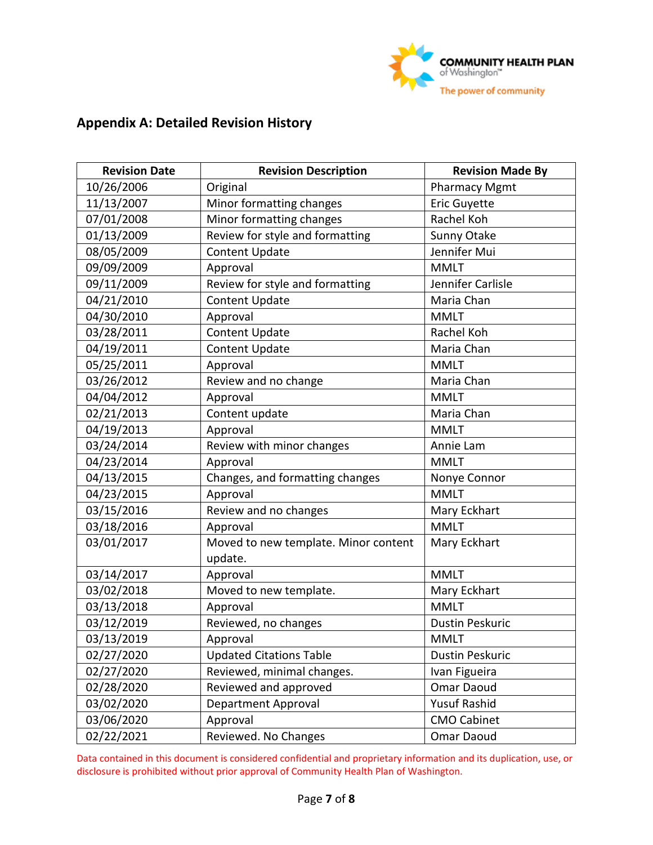

# **Appendix A: Detailed Revision History**

| <b>Revision Date</b> | <b>Revision Description</b>          | <b>Revision Made By</b> |  |
|----------------------|--------------------------------------|-------------------------|--|
| 10/26/2006           | Original                             | <b>Pharmacy Mgmt</b>    |  |
| 11/13/2007           | Minor formatting changes             | <b>Eric Guyette</b>     |  |
| 07/01/2008           | Minor formatting changes             | Rachel Koh              |  |
| 01/13/2009           | Review for style and formatting      | Sunny Otake             |  |
| 08/05/2009           | Content Update                       | Jennifer Mui            |  |
| 09/09/2009           | Approval                             | <b>MMLT</b>             |  |
| 09/11/2009           | Review for style and formatting      | Jennifer Carlisle       |  |
| 04/21/2010           | <b>Content Update</b>                | Maria Chan              |  |
| 04/30/2010           | Approval                             | <b>MMLT</b>             |  |
| 03/28/2011           | <b>Content Update</b>                | Rachel Koh              |  |
| 04/19/2011           | <b>Content Update</b>                | Maria Chan              |  |
| 05/25/2011           | Approval                             | <b>MMLT</b>             |  |
| 03/26/2012           | Review and no change                 | Maria Chan              |  |
| 04/04/2012           | Approval                             | <b>MMLT</b>             |  |
| 02/21/2013           | Content update                       | Maria Chan              |  |
| 04/19/2013           | Approval                             | <b>MMLT</b>             |  |
| 03/24/2014           | Review with minor changes            | Annie Lam               |  |
| 04/23/2014           | Approval                             | <b>MMLT</b>             |  |
| 04/13/2015           | Changes, and formatting changes      | Nonye Connor            |  |
| 04/23/2015           | Approval                             | <b>MMLT</b>             |  |
| 03/15/2016           | Review and no changes                | Mary Eckhart            |  |
| 03/18/2016           | Approval                             | <b>MMLT</b>             |  |
| 03/01/2017           | Moved to new template. Minor content | Mary Eckhart            |  |
|                      | update.                              |                         |  |
| 03/14/2017           | Approval                             | <b>MMLT</b>             |  |
| 03/02/2018           | Moved to new template.               | Mary Eckhart            |  |
| 03/13/2018           | Approval                             | <b>MMLT</b>             |  |
| 03/12/2019           | Reviewed, no changes                 | <b>Dustin Peskuric</b>  |  |
| 03/13/2019           | Approval                             | <b>MMLT</b>             |  |
| 02/27/2020           | <b>Updated Citations Table</b>       | Dustin Peskuric         |  |
| 02/27/2020           | Reviewed, minimal changes.           | Ivan Figueira           |  |
| 02/28/2020           | Reviewed and approved                | Omar Daoud              |  |
| 03/02/2020           | Department Approval                  | <b>Yusuf Rashid</b>     |  |
| 03/06/2020           | Approval                             | <b>CMO Cabinet</b>      |  |
| 02/22/2021           | Reviewed. No Changes                 | Omar Daoud              |  |